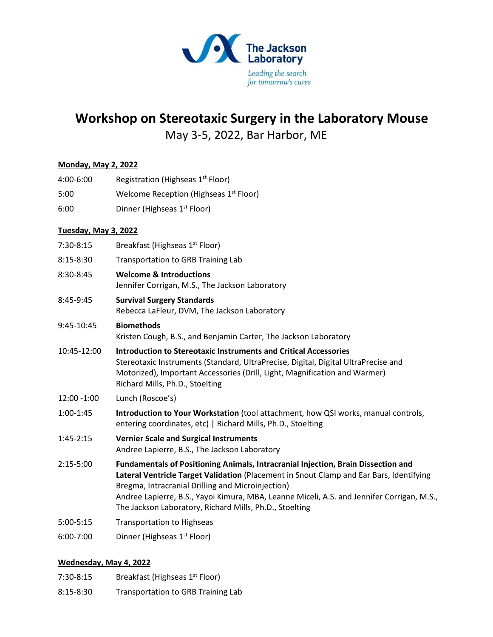

## **Workshop on Stereotaxic Surgery in the Laboratory Mouse**

May 3-5, 2022, Bar Harbor, ME

| <b>Monday, May 2, 2022</b> |                                                                                                                                                                                                                                                                                                                                                                                            |
|----------------------------|--------------------------------------------------------------------------------------------------------------------------------------------------------------------------------------------------------------------------------------------------------------------------------------------------------------------------------------------------------------------------------------------|
| 4:00-6:00                  | Registration (Highseas 1 <sup>st</sup> Floor)                                                                                                                                                                                                                                                                                                                                              |
| 5:00                       | Welcome Reception (Highseas 1 <sup>st</sup> Floor)                                                                                                                                                                                                                                                                                                                                         |
| 6:00                       | Dinner (Highseas 1 <sup>st</sup> Floor)                                                                                                                                                                                                                                                                                                                                                    |
| Tuesday, May 3, 2022       |                                                                                                                                                                                                                                                                                                                                                                                            |
| 7:30-8:15                  | Breakfast (Highseas 1st Floor)                                                                                                                                                                                                                                                                                                                                                             |
| 8:15-8:30                  | <b>Transportation to GRB Training Lab</b>                                                                                                                                                                                                                                                                                                                                                  |
| 8:30-8:45                  | <b>Welcome &amp; Introductions</b><br>Jennifer Corrigan, M.S., The Jackson Laboratory                                                                                                                                                                                                                                                                                                      |
| 8:45-9:45                  | <b>Survival Surgery Standards</b><br>Rebecca LaFleur, DVM, The Jackson Laboratory                                                                                                                                                                                                                                                                                                          |
| 9:45-10:45                 | <b>Biomethods</b><br>Kristen Cough, B.S., and Benjamin Carter, The Jackson Laboratory                                                                                                                                                                                                                                                                                                      |
| 10:45-12:00                | <b>Introduction to Stereotaxic Instruments and Critical Accessories</b><br>Stereotaxic Instruments (Standard, UltraPrecise, Digital, Digital UltraPrecise and<br>Motorized), Important Accessories (Drill, Light, Magnification and Warmer)<br>Richard Mills, Ph.D., Stoelting                                                                                                             |
| 12:00 -1:00                | Lunch (Roscoe's)                                                                                                                                                                                                                                                                                                                                                                           |
| 1:00-1:45                  | Introduction to Your Workstation (tool attachment, how QSI works, manual controls,<br>entering coordinates, etc)   Richard Mills, Ph.D., Stoelting                                                                                                                                                                                                                                         |
| 1:45-2:15                  | <b>Vernier Scale and Surgical Instruments</b><br>Andree Lapierre, B.S., The Jackson Laboratory                                                                                                                                                                                                                                                                                             |
| 2:15-5:00                  | Fundamentals of Positioning Animals, Intracranial Injection, Brain Dissection and<br>Lateral Ventricle Target Validation (Placement in Snout Clamp and Ear Bars, Identifying<br>Bregma, Intracranial Drilling and Microinjection)<br>Andree Lapierre, B.S., Yayoi Kimura, MBA, Leanne Miceli, A.S. and Jennifer Corrigan, M.S.,<br>The Jackson Laboratory, Richard Mills, Ph.D., Stoelting |
| 5:00-5:15                  | <b>Transportation to Highseas</b>                                                                                                                                                                                                                                                                                                                                                          |
| 6:00-7:00                  | Dinner (Highseas 1 <sup>st</sup> Floor)                                                                                                                                                                                                                                                                                                                                                    |
|                            |                                                                                                                                                                                                                                                                                                                                                                                            |

## **Wednesday, May 4, 2022**

- 7:30-8:15 Breakfast (Highseas 1<sup>st</sup> Floor)
- 8:15-8:30 Transportation to GRB Training Lab